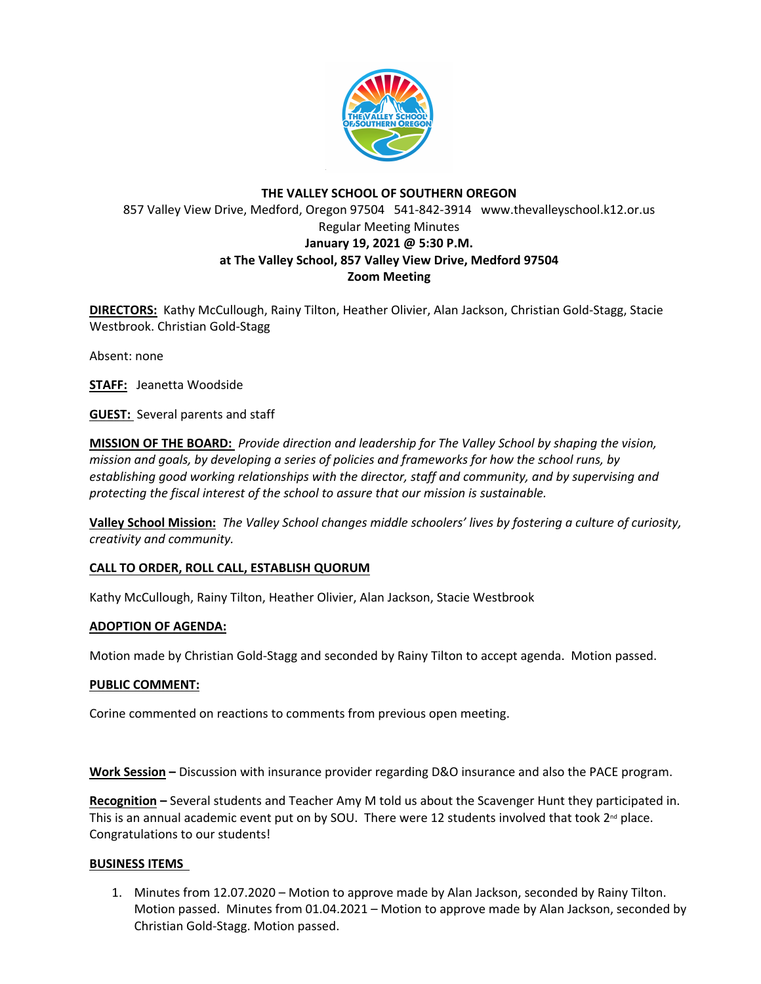

# **THE VALLEY SCHOOL OF SOUTHERN OREGON** 857 Valley View Drive, Medford, Oregon 97504 541-842-3914 www.thevalleyschool.k12.or.us Regular Meeting Minutes **January 19, 2021 @ 5:30 P.M. at The Valley School, 857 Valley View Drive, Medford 97504 Zoom Meeting**

**DIRECTORS:** Kathy McCullough, Rainy Tilton, Heather Olivier, Alan Jackson, Christian Gold-Stagg, Stacie Westbrook. Christian Gold-Stagg

Absent: none

**STAFF:** Jeanetta Woodside

**GUEST:** Several parents and staff

**MISSION OF THE BOARD:** *Provide direction and leadership for The Valley School by shaping the vision, mission and goals, by developing a series of policies and frameworks for how the school runs, by establishing good working relationships with the director, staff and community, and by supervising and protecting the fiscal interest of the school to assure that our mission is sustainable.*

**Valley School Mission:** *The Valley School changes middle schoolers' lives by fostering a culture of curiosity, creativity and community.*

### **CALL TO ORDER, ROLL CALL, ESTABLISH QUORUM**

Kathy McCullough, Rainy Tilton, Heather Olivier, Alan Jackson, Stacie Westbrook

### **ADOPTION OF AGENDA:**

Motion made by Christian Gold-Stagg and seconded by Rainy Tilton to accept agenda. Motion passed.

### **PUBLIC COMMENT:**

Corine commented on reactions to comments from previous open meeting.

**Work Session –** Discussion with insurance provider regarding D&O insurance and also the PACE program.

**Recognition –** Several students and Teacher Amy M told us about the Scavenger Hunt they participated in. This is an annual academic event put on by SOU. There were 12 students involved that took  $2^{nd}$  place. Congratulations to our students!

### **BUSINESS ITEMS**

1. Minutes from 12.07.2020 – Motion to approve made by Alan Jackson, seconded by Rainy Tilton. Motion passed. Minutes from 01.04.2021 – Motion to approve made by Alan Jackson, seconded by Christian Gold-Stagg. Motion passed.